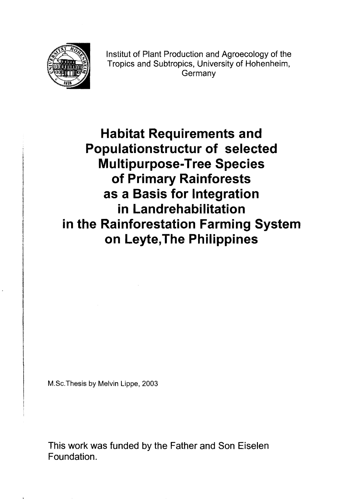

Institut of Plant Production and Agroecology of the Tropics and Subtropics, University of Hohenheim, Germany

**Habitat Requirements and Populationstructur of selected Multipurpose-Tree Species of Primary Rainforests as a Basis for Integration in Landrehabilitation in the Rainforestation Farming System on Leyte,The Philippines** 

M.Sc.Thesis by Melvin Lippe, 2003

This work was funded by the Father and Son Eiselen Foundation.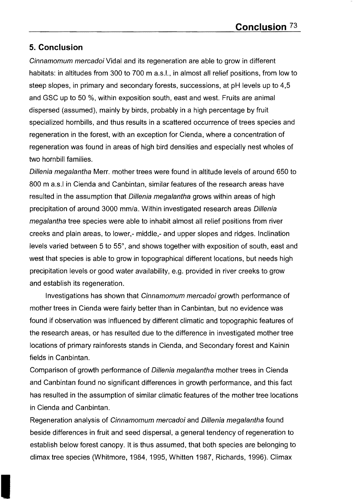## **5. Conclusion**

Cinnamomum mercadoi Vidal and its regeneration are able to grow in different habitats: in altitudes from 300 to 700 m a.s.l., in almost all relief positions, from low to steep slopes, in primary and secondary forests, successions, at pH levels up to 4,5 and GSC up to 50 %, within exposition south, east and west. Fruits are animal dispersed (assumed), mainly by birds, probably in a high percentage by fruit specialized hornbills, and thus results in a scattered occurrence of trees species and regeneration in the forest, with an exception for Cienda, where a concentration of regeneration was found in areas of high bird densities and especially nest wholes of two horn bill families.

Dillenia megalantha Merr. mother trees were found in altitude levels of around 650 to 800 m a.s.l in Cienda and Canbintan, similar features of the research areas have resulted in the assumption that Dillenia megalantha grows within areas of high precipitation of around 3000 mm/a. Within investigated research areas Dillenia megalantha tree species were able to inhabit almost all relief positions from river creeks and plain areas, to lower,- middle,- and upper slopes and ridges. Inclination levels varied between 5 to 55°, and shows together with exposition of south, east and west that species is able to grow in topographical different locations, but needs high precipitation levels or good water availability, e.g. provided in river creeks to grow and establish its regeneration.

Investigations has shown that Cinnamomum mercadoi growth performance of mother trees in Cienda were fairly better than in Canbintan, but no evidence was found if observation was influenced by different climatic and topographie features of the research areas, or has resulted due to the difference in investigated mother tree locations of primary rainforests stands in Cienda, and Secondary forest and Kainin fields in Canbintan.

Comparison of growth performance of Dillenia megalantha mother trees in Cienda and Canbintan found no significant differences in growth performance, and this fact has resulted in the assumption of similar climatic features of the mother tree locations in Cienda and Canbintan.

Regeneration analysis of Cinnamomum mercadoi and Dillenia megalantha found beside differences in fruit and seed dispersal, a general tendency of regeneration to establish below forest canopy. It is thus assumed, that both species are belonging to climax tree species (Whitmore, 1984, 1995, Whitten 1987, Richards, 1996). Climax